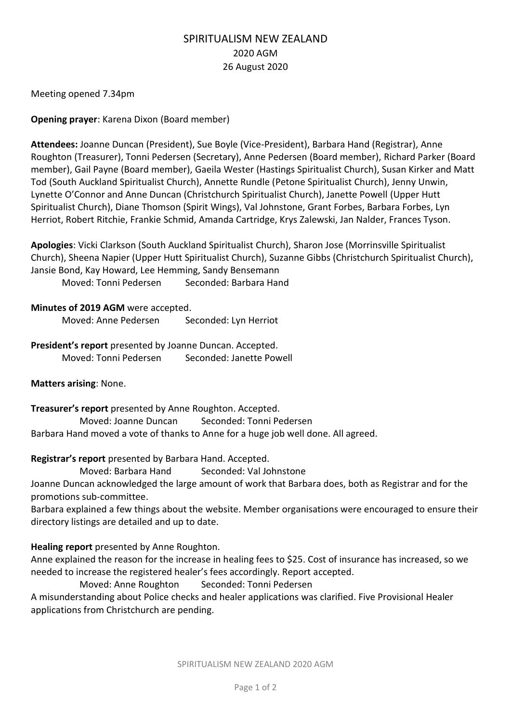# SPIRITUALISM NEW ZEALAND 2020 AGM 26 August 2020

Meeting opened 7.34pm

**Opening prayer**: Karena Dixon (Board member)

**Attendees:** Joanne Duncan (President), Sue Boyle (Vice-President), Barbara Hand (Registrar), Anne Roughton (Treasurer), Tonni Pedersen (Secretary), Anne Pedersen (Board member), Richard Parker (Board member), Gail Payne (Board member), Gaeila Wester (Hastings Spiritualist Church), Susan Kirker and Matt Tod (South Auckland Spiritualist Church), Annette Rundle (Petone Spiritualist Church), Jenny Unwin, Lynette O'Connor and Anne Duncan (Christchurch Spiritualist Church), Janette Powell (Upper Hutt Spiritualist Church), Diane Thomson (Spirit Wings), Val Johnstone, Grant Forbes, Barbara Forbes, Lyn Herriot, Robert Ritchie, Frankie Schmid, Amanda Cartridge, Krys Zalewski, Jan Nalder, Frances Tyson.

**Apologies**: Vicki Clarkson (South Auckland Spiritualist Church), Sharon Jose (Morrinsville Spiritualist Church), Sheena Napier (Upper Hutt Spiritualist Church), Suzanne Gibbs (Christchurch Spiritualist Church), Jansie Bond, Kay Howard, Lee Hemming, Sandy Bensemann Moved: Tonni Pedersen Seconded: Barbara Hand

### **Minutes of 2019 AGM** were accepted.

Moved: Anne Pedersen Seconded: Lyn Herriot

**President's report** presented by Joanne Duncan. Accepted. Moved: Tonni Pedersen Seconded: Janette Powell

**Matters arising**: None.

**Treasurer's report** presented by Anne Roughton. Accepted. Moved: Joanne Duncan Seconded: Tonni Pedersen Barbara Hand moved a vote of thanks to Anne for a huge job well done. All agreed.

**Registrar's report** presented by Barbara Hand. Accepted.

Moved: Barbara Hand Seconded: Val Johnstone

Joanne Duncan acknowledged the large amount of work that Barbara does, both as Registrar and for the promotions sub-committee.

Barbara explained a few things about the website. Member organisations were encouraged to ensure their directory listings are detailed and up to date.

# **Healing report** presented by Anne Roughton.

Anne explained the reason for the increase in healing fees to \$25. Cost of insurance has increased, so we needed to increase the registered healer's fees accordingly. Report accepted.

Moved: Anne Roughton Seconded: Tonni Pedersen

A misunderstanding about Police checks and healer applications was clarified. Five Provisional Healer applications from Christchurch are pending.